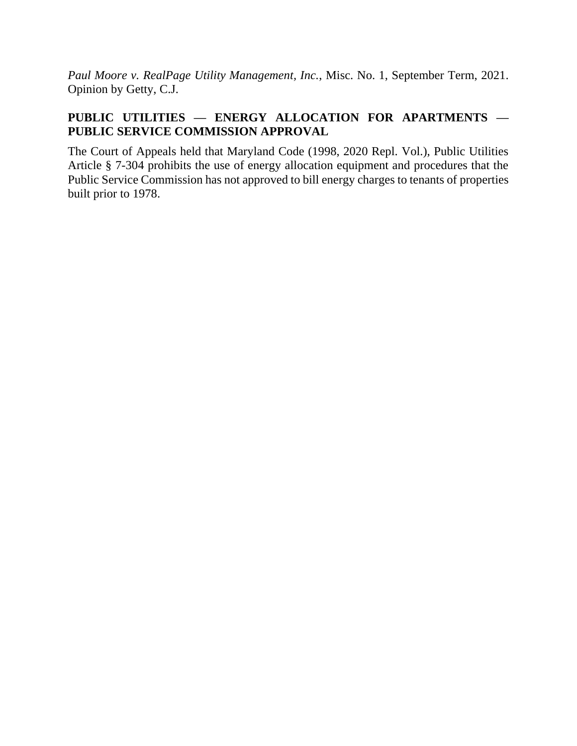*Paul Moore v. RealPage Utility Management, Inc.*, Misc. No. 1, September Term, 2021. Opinion by Getty, C.J.

# **PUBLIC UTILITIES — ENERGY ALLOCATION FOR APARTMENTS — PUBLIC SERVICE COMMISSION APPROVAL**

The Court of Appeals held that Maryland Code (1998, 2020 Repl. Vol.), Public Utilities Article § 7-304 prohibits the use of energy allocation equipment and procedures that the Public Service Commission has not approved to bill energy charges to tenants of properties built prior to 1978.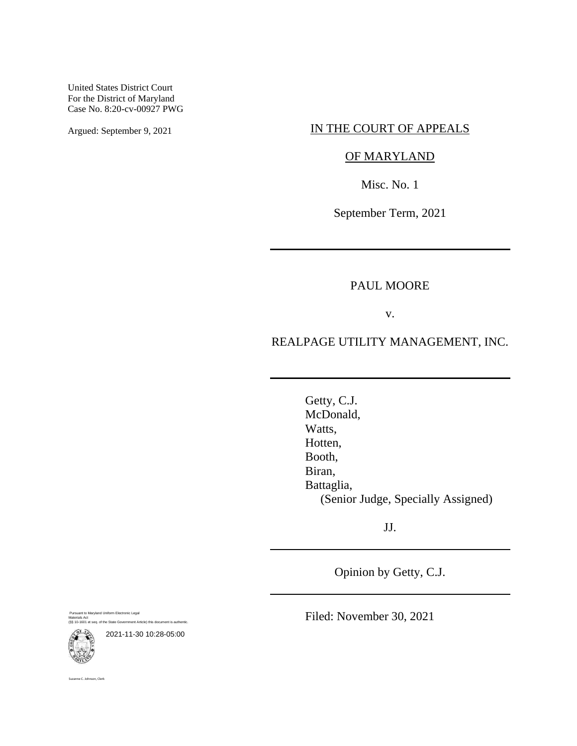United States District Court For the District of Maryland Case No. 8:20-cv-00927 PWG

## Argued: September 9, 2021 IN THE COURT OF APPEALS

## OF MARYLAND

Misc. No. 1

September Term, 2021

### PAUL MOORE

v.

### REALPAGE UTILITY MANAGEMENT, INC.

Getty, C.J. McDonald, Watts, Hotten, Booth, Biran, Battaglia, (Senior Judge, Specially Assigned)

JJ.

Opinion by Getty, C.J.

Pursuant to Maryland Uniform Electronic Legal Materials Act (§§ 10-1601 et seq. of the State Government Article) this document is authentic.



anne C. Johnson, Clerk

2021-11-30 10:28-05:00

Filed: November 30, 2021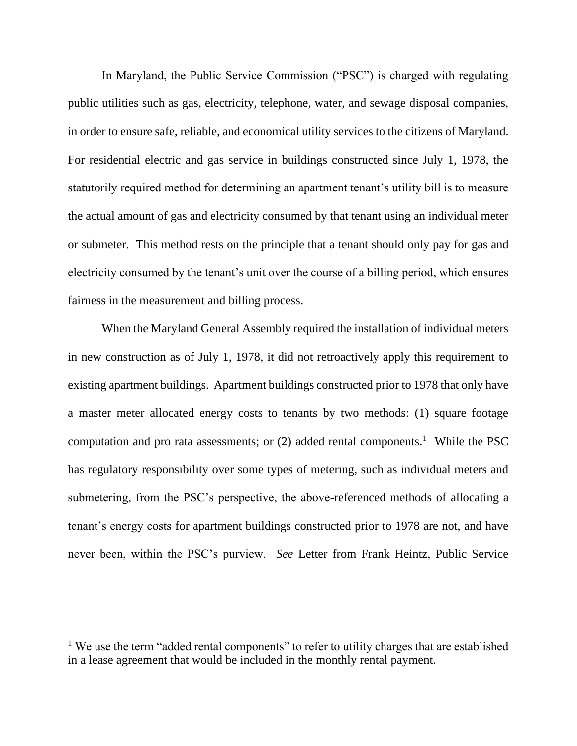In Maryland, the Public Service Commission ("PSC") is charged with regulating public utilities such as gas, electricity, telephone, water, and sewage disposal companies, in order to ensure safe, reliable, and economical utility services to the citizens of Maryland. For residential electric and gas service in buildings constructed since July 1, 1978, the statutorily required method for determining an apartment tenant's utility bill is to measure the actual amount of gas and electricity consumed by that tenant using an individual meter or submeter. This method rests on the principle that a tenant should only pay for gas and electricity consumed by the tenant's unit over the course of a billing period, which ensures fairness in the measurement and billing process.

When the Maryland General Assembly required the installation of individual meters in new construction as of July 1, 1978, it did not retroactively apply this requirement to existing apartment buildings. Apartment buildings constructed prior to 1978 that only have a master meter allocated energy costs to tenants by two methods: (1) square footage computation and pro rata assessments; or  $(2)$  added rental components.<sup>1</sup> While the PSC has regulatory responsibility over some types of metering, such as individual meters and submetering, from the PSC's perspective, the above-referenced methods of allocating a tenant's energy costs for apartment buildings constructed prior to 1978 are not, and have never been, within the PSC's purview. *See* Letter from Frank Heintz, Public Service

<sup>&</sup>lt;sup>1</sup> We use the term "added rental components" to refer to utility charges that are established in a lease agreement that would be included in the monthly rental payment.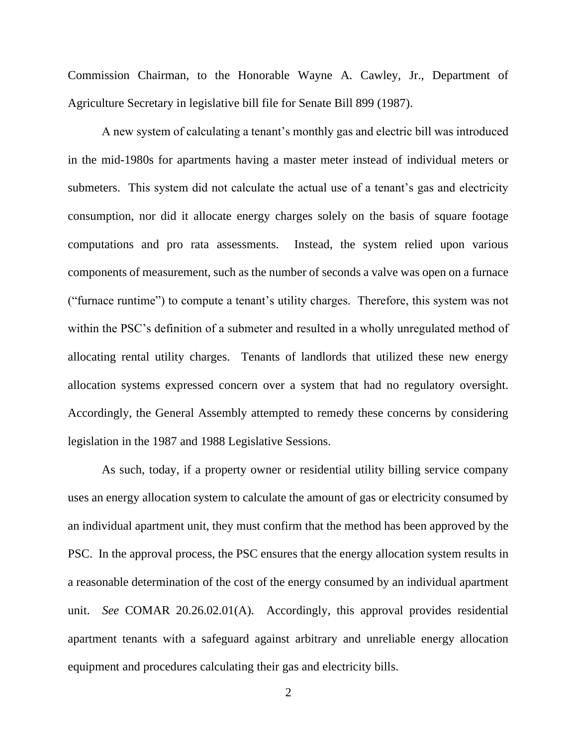Commission Chairman, to the Honorable Wayne A. Cawley, Jr., Department of Agriculture Secretary in legislative bill file for Senate Bill 899 (1987).

A new system of calculating a tenant's monthly gas and electric bill was introduced in the mid-1980s for apartments having a master meter instead of individual meters or submeters. This system did not calculate the actual use of a tenant's gas and electricity consumption, nor did it allocate energy charges solely on the basis of square footage computations and pro rata assessments. Instead, the system relied upon various components of measurement, such as the number of seconds a valve was open on a furnace ("furnace runtime") to compute a tenant's utility charges. Therefore, this system was not within the PSC's definition of a submeter and resulted in a wholly unregulated method of allocating rental utility charges. Tenants of landlords that utilized these new energy allocation systems expressed concern over a system that had no regulatory oversight. Accordingly, the General Assembly attempted to remedy these concerns by considering legislation in the 1987 and 1988 Legislative Sessions.

As such, today, if a property owner or residential utility billing service company uses an energy allocation system to calculate the amount of gas or electricity consumed by an individual apartment unit, they must confirm that the method has been approved by the PSC. In the approval process, the PSC ensures that the energy allocation system results in a reasonable determination of the cost of the energy consumed by an individual apartment unit. *See* COMAR 20.26.02.01(A). Accordingly, this approval provides residential apartment tenants with a safeguard against arbitrary and unreliable energy allocation equipment and procedures calculating their gas and electricity bills.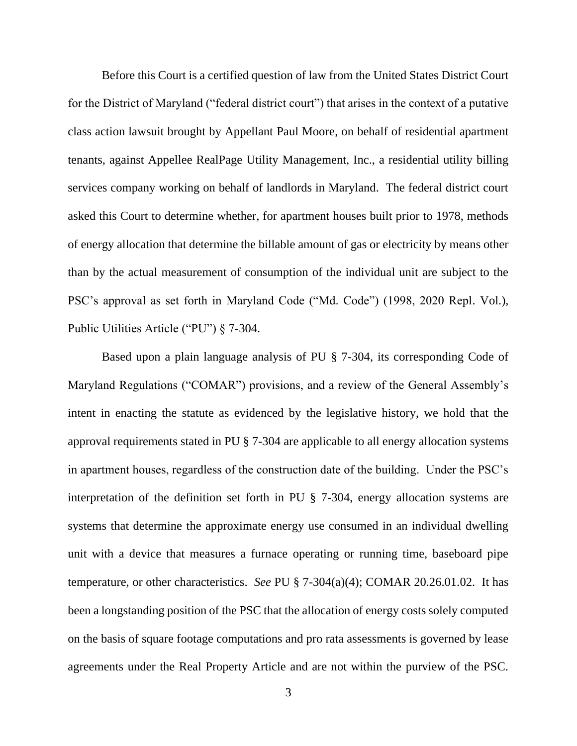Before this Court is a certified question of law from the United States District Court for the District of Maryland ("federal district court") that arises in the context of a putative class action lawsuit brought by Appellant Paul Moore, on behalf of residential apartment tenants, against Appellee RealPage Utility Management, Inc., a residential utility billing services company working on behalf of landlords in Maryland. The federal district court asked this Court to determine whether, for apartment houses built prior to 1978, methods of energy allocation that determine the billable amount of gas or electricity by means other than by the actual measurement of consumption of the individual unit are subject to the PSC's approval as set forth in Maryland Code ("Md. Code") (1998, 2020 Repl. Vol.), Public Utilities Article ("PU") § 7-304.

Based upon a plain language analysis of PU § 7-304, its corresponding Code of Maryland Regulations ("COMAR") provisions, and a review of the General Assembly's intent in enacting the statute as evidenced by the legislative history, we hold that the approval requirements stated in PU § 7-304 are applicable to all energy allocation systems in apartment houses, regardless of the construction date of the building. Under the PSC's interpretation of the definition set forth in PU § 7-304, energy allocation systems are systems that determine the approximate energy use consumed in an individual dwelling unit with a device that measures a furnace operating or running time, baseboard pipe temperature, or other characteristics. *See* PU § 7-304(a)(4); COMAR 20.26.01.02. It has been a longstanding position of the PSC that the allocation of energy costs solely computed on the basis of square footage computations and pro rata assessments is governed by lease agreements under the Real Property Article and are not within the purview of the PSC.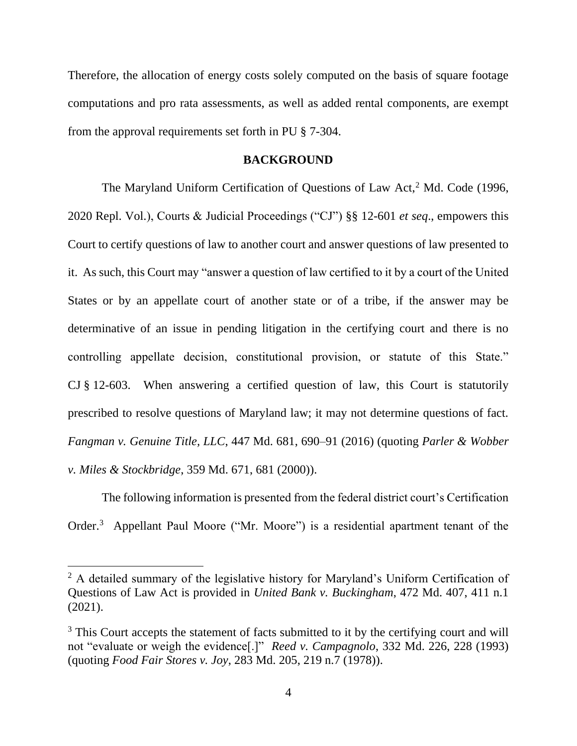Therefore, the allocation of energy costs solely computed on the basis of square footage computations and pro rata assessments, as well as added rental components, are exempt from the approval requirements set forth in PU § 7-304.

#### **BACKGROUND**

The Maryland Uniform Certification of Questions of Law Act,<sup>2</sup> Md. Code (1996, 2020 Repl. Vol.), Courts & Judicial Proceedings ("CJ") §§ 12-601 *et seq*., empowers this Court to certify questions of law to another court and answer questions of law presented to it. As such, this Court may "answer a question of law certified to it by a court of the United States or by an appellate court of another state or of a tribe, if the answer may be determinative of an issue in pending litigation in the certifying court and there is no controlling appellate decision, constitutional provision, or statute of this State." CJ § 12-603. When answering a certified question of law, this Court is statutorily prescribed to resolve questions of Maryland law; it may not determine questions of fact. *Fangman v. Genuine Title, LLC*, 447 Md. 681, 690–91 (2016) (quoting *Parler & Wobber v. Miles & Stockbridge*, 359 Md. 671, 681 (2000)).

The following information is presented from the federal district court's Certification Order.<sup>3</sup> Appellant Paul Moore ("Mr. Moore") is a residential apartment tenant of the

<sup>&</sup>lt;sup>2</sup> A detailed summary of the legislative history for Maryland's Uniform Certification of Questions of Law Act is provided in *United Bank v. Buckingham*, 472 Md. 407, 411 n.1 (2021).

<sup>&</sup>lt;sup>3</sup> This Court accepts the statement of facts submitted to it by the certifying court and will not "evaluate or weigh the evidence[.]" *Reed v. Campagnolo*, 332 Md. 226, 228 (1993) (quoting *Food Fair Stores v. Joy*, 283 Md. 205, 219 n.7 (1978)).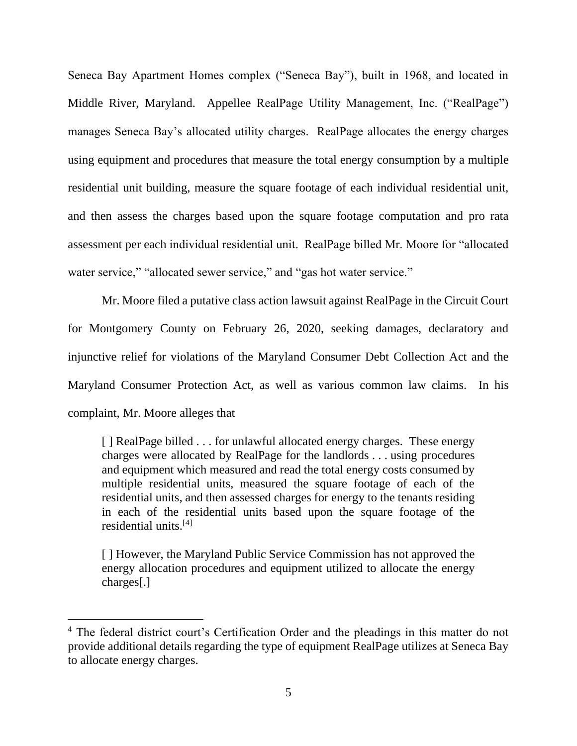Seneca Bay Apartment Homes complex ("Seneca Bay"), built in 1968, and located in Middle River, Maryland. Appellee RealPage Utility Management, Inc. ("RealPage") manages Seneca Bay's allocated utility charges. RealPage allocates the energy charges using equipment and procedures that measure the total energy consumption by a multiple residential unit building, measure the square footage of each individual residential unit, and then assess the charges based upon the square footage computation and pro rata assessment per each individual residential unit. RealPage billed Mr. Moore for "allocated water service," "allocated sewer service," and "gas hot water service."

Mr. Moore filed a putative class action lawsuit against RealPage in the Circuit Court for Montgomery County on February 26, 2020, seeking damages, declaratory and injunctive relief for violations of the Maryland Consumer Debt Collection Act and the Maryland Consumer Protection Act, as well as various common law claims. In his complaint, Mr. Moore alleges that

[ ] RealPage billed . . . for unlawful allocated energy charges. These energy charges were allocated by RealPage for the landlords . . . using procedures and equipment which measured and read the total energy costs consumed by multiple residential units, measured the square footage of each of the residential units, and then assessed charges for energy to the tenants residing in each of the residential units based upon the square footage of the residential units.[4]

[ ] However, the Maryland Public Service Commission has not approved the energy allocation procedures and equipment utilized to allocate the energy charges[.]

<sup>4</sup> The federal district court's Certification Order and the pleadings in this matter do not provide additional details regarding the type of equipment RealPage utilizes at Seneca Bay to allocate energy charges.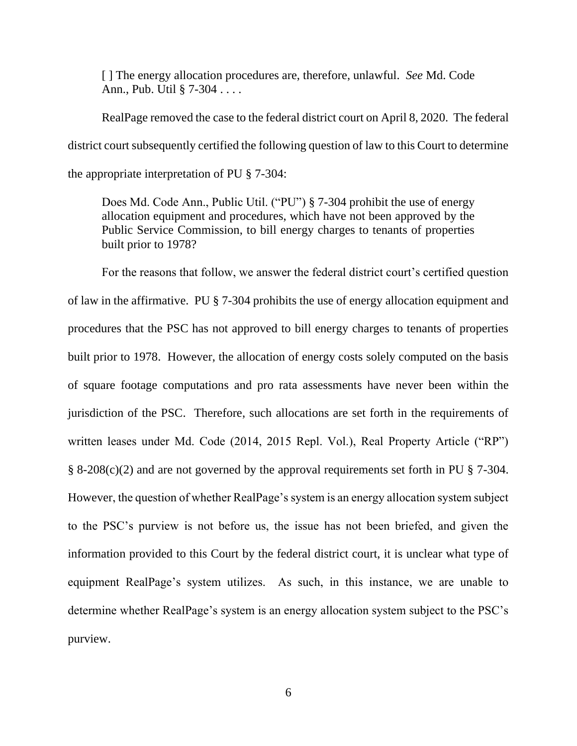[ ] The energy allocation procedures are, therefore, unlawful. *See* Md. Code Ann., Pub. Util § 7-304 . . . .

RealPage removed the case to the federal district court on April 8, 2020. The federal district court subsequently certified the following question of law to this Court to determine the appropriate interpretation of PU § 7-304:

Does Md. Code Ann., Public Util. ("PU") § 7-304 prohibit the use of energy allocation equipment and procedures, which have not been approved by the Public Service Commission, to bill energy charges to tenants of properties built prior to 1978?

For the reasons that follow, we answer the federal district court's certified question of law in the affirmative. PU § 7-304 prohibits the use of energy allocation equipment and procedures that the PSC has not approved to bill energy charges to tenants of properties built prior to 1978. However, the allocation of energy costs solely computed on the basis of square footage computations and pro rata assessments have never been within the jurisdiction of the PSC. Therefore, such allocations are set forth in the requirements of written leases under Md. Code (2014, 2015 Repl. Vol.), Real Property Article ("RP") § 8-208(c)(2) and are not governed by the approval requirements set forth in PU § 7-304. However, the question of whether RealPage's system is an energy allocation system subject to the PSC's purview is not before us, the issue has not been briefed, and given the information provided to this Court by the federal district court, it is unclear what type of equipment RealPage's system utilizes. As such, in this instance, we are unable to determine whether RealPage's system is an energy allocation system subject to the PSC's purview.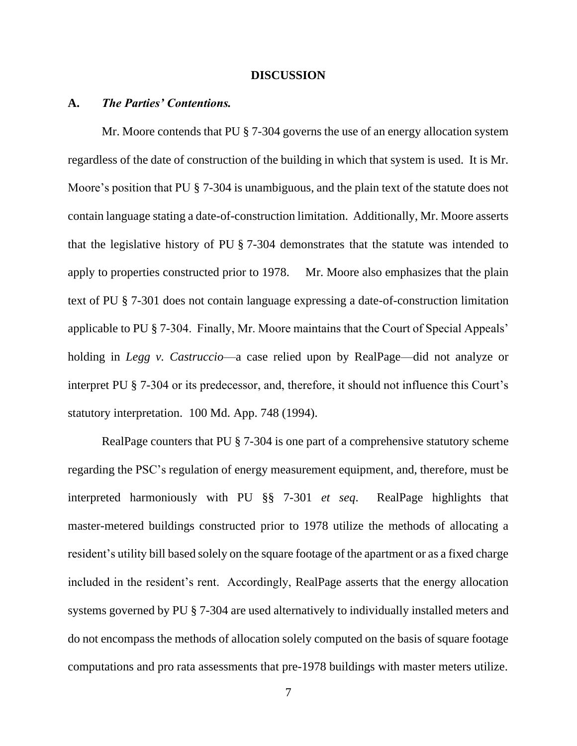#### **DISCUSSION**

#### **A.** *The Parties' Contentions.*

Mr. Moore contends that PU § 7-304 governs the use of an energy allocation system regardless of the date of construction of the building in which that system is used. It is Mr. Moore's position that PU  $\S$  7-304 is unambiguous, and the plain text of the statute does not contain language stating a date-of-construction limitation. Additionally, Mr. Moore asserts that the legislative history of PU § 7-304 demonstrates that the statute was intended to apply to properties constructed prior to 1978. Mr. Moore also emphasizes that the plain text of PU § 7-301 does not contain language expressing a date-of-construction limitation applicable to PU § 7-304. Finally, Mr. Moore maintains that the Court of Special Appeals' holding in *Legg v. Castruccio*—a case relied upon by RealPage—did not analyze or interpret PU § 7-304 or its predecessor, and, therefore, it should not influence this Court's statutory interpretation. 100 Md. App. 748 (1994).

RealPage counters that PU § 7-304 is one part of a comprehensive statutory scheme regarding the PSC's regulation of energy measurement equipment, and, therefore, must be interpreted harmoniously with PU §§ 7-301 *et seq*. RealPage highlights that master-metered buildings constructed prior to 1978 utilize the methods of allocating a resident's utility bill based solely on the square footage of the apartment or as a fixed charge included in the resident's rent. Accordingly, RealPage asserts that the energy allocation systems governed by PU § 7-304 are used alternatively to individually installed meters and do not encompass the methods of allocation solely computed on the basis of square footage computations and pro rata assessments that pre-1978 buildings with master meters utilize.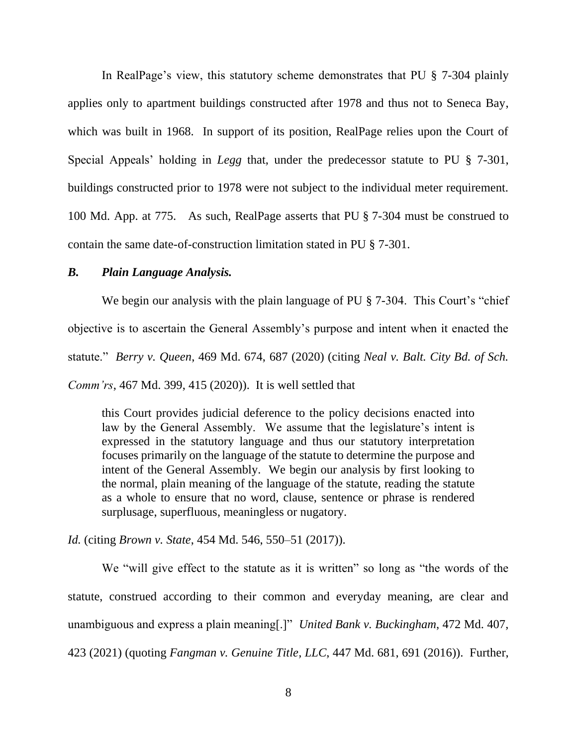In RealPage's view, this statutory scheme demonstrates that PU § 7-304 plainly applies only to apartment buildings constructed after 1978 and thus not to Seneca Bay, which was built in 1968. In support of its position, RealPage relies upon the Court of Special Appeals' holding in *Legg* that, under the predecessor statute to PU § 7-301, buildings constructed prior to 1978 were not subject to the individual meter requirement. 100 Md. App. at 775. As such, RealPage asserts that PU § 7-304 must be construed to contain the same date-of-construction limitation stated in PU § 7-301.

### *B. Plain Language Analysis.*

We begin our analysis with the plain language of PU § 7-304. This Court's "chief" objective is to ascertain the General Assembly's purpose and intent when it enacted the statute." *Berry v. Queen*, 469 Md. 674, 687 (2020) (citing *Neal v. Balt. City Bd. of Sch. Comm'rs*, 467 Md. 399, 415 (2020)). It is well settled that

this Court provides judicial deference to the policy decisions enacted into law by the General Assembly. We assume that the legislature's intent is expressed in the statutory language and thus our statutory interpretation focuses primarily on the language of the statute to determine the purpose and intent of the General Assembly. We begin our analysis by first looking to the normal, plain meaning of the language of the statute, reading the statute as a whole to ensure that no word, clause, sentence or phrase is rendered surplusage, superfluous, meaningless or nugatory.

*Id.* (citing *Brown v. State*, 454 Md. 546, 550–51 (2017)).

We "will give effect to the statute as it is written" so long as "the words of the statute, construed according to their common and everyday meaning, are clear and unambiguous and express a plain meaning[.]" *United Bank v. Buckingham*, 472 Md. 407, 423 (2021) (quoting *Fangman v. Genuine Title, LLC*, 447 Md. 681, 691 (2016)). Further,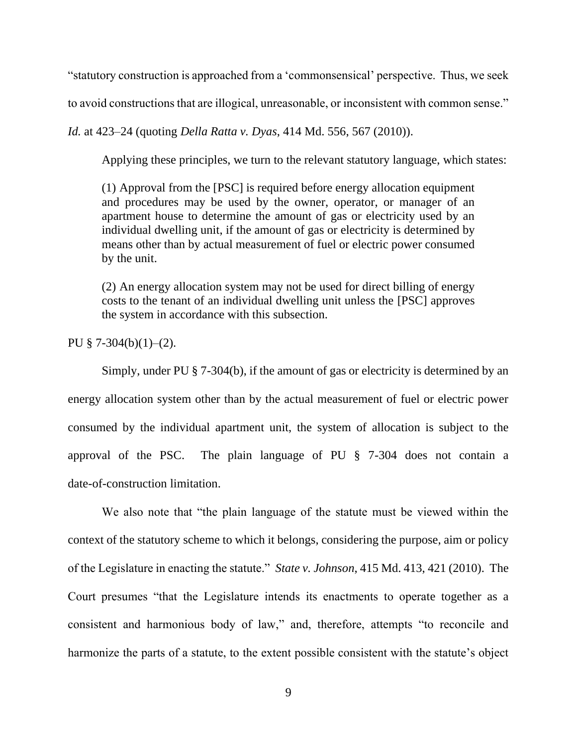"statutory construction is approached from a 'commonsensical' perspective. Thus, we seek

to avoid constructions that are illogical, unreasonable, or inconsistent with common sense."

*Id.* at 423–24 (quoting *Della Ratta v. Dyas*, 414 Md. 556, 567 (2010)).

Applying these principles, we turn to the relevant statutory language, which states:

(1) Approval from the [PSC] is required before energy allocation equipment and procedures may be used by the owner, operator, or manager of an apartment house to determine the amount of gas or electricity used by an individual dwelling unit, if the amount of gas or electricity is determined by means other than by actual measurement of fuel or electric power consumed by the unit.

(2) An energy allocation system may not be used for direct billing of energy costs to the tenant of an individual dwelling unit unless the [PSC] approves the system in accordance with this subsection.

PU  $§ 7-304(b)(1)-(2)$ .

Simply, under PU § 7-304(b), if the amount of gas or electricity is determined by an energy allocation system other than by the actual measurement of fuel or electric power consumed by the individual apartment unit, the system of allocation is subject to the approval of the PSC. The plain language of PU § 7-304 does not contain a date-of-construction limitation.

We also note that "the plain language of the statute must be viewed within the context of the statutory scheme to which it belongs, considering the purpose, aim or policy of the Legislature in enacting the statute." *State v. Johnson*, 415 Md. 413, 421 (2010). The Court presumes "that the Legislature intends its enactments to operate together as a consistent and harmonious body of law," and, therefore, attempts "to reconcile and harmonize the parts of a statute, to the extent possible consistent with the statute's object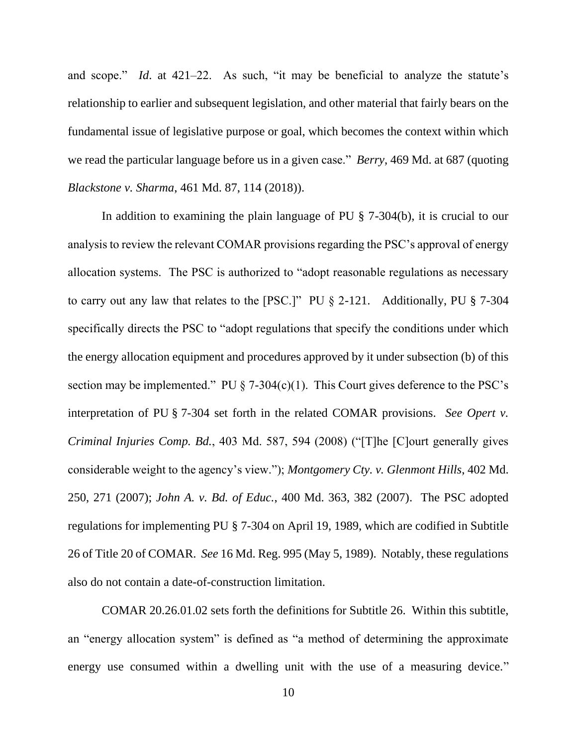and scope." *Id*. at 421–22. As such, "it may be beneficial to analyze the statute's relationship to earlier and subsequent legislation, and other material that fairly bears on the fundamental issue of legislative purpose or goal, which becomes the context within which we read the particular language before us in a given case." *Berry*, 469 Md. at 687 (quoting *Blackstone v. Sharma*, 461 Md. 87, 114 (2018)).

In addition to examining the plain language of PU § 7-304(b), it is crucial to our analysis to review the relevant COMAR provisions regarding the PSC's approval of energy allocation systems. The PSC is authorized to "adopt reasonable regulations as necessary to carry out any law that relates to the [PSC.]" PU § 2-121. Additionally, PU § 7-304 specifically directs the PSC to "adopt regulations that specify the conditions under which the energy allocation equipment and procedures approved by it under subsection (b) of this section may be implemented." PU  $\S$  7-304(c)(1). This Court gives deference to the PSC's interpretation of PU § 7-304 set forth in the related COMAR provisions. *See Opert v. Criminal Injuries Comp. Bd.*, 403 Md. 587, 594 (2008) ("[T]he [C]ourt generally gives considerable weight to the agency's view."); *Montgomery Cty. v. Glenmont Hills*, 402 Md. 250, 271 (2007); *John A. v. Bd. of Educ.*, 400 Md. 363, 382 (2007). The PSC adopted regulations for implementing PU § 7-304 on April 19, 1989, which are codified in Subtitle 26 of Title 20 of COMAR. *See* 16 Md. Reg. 995 (May 5, 1989). Notably, these regulations also do not contain a date-of-construction limitation.

COMAR 20.26.01.02 sets forth the definitions for Subtitle 26. Within this subtitle, an "energy allocation system" is defined as "a method of determining the approximate energy use consumed within a dwelling unit with the use of a measuring device."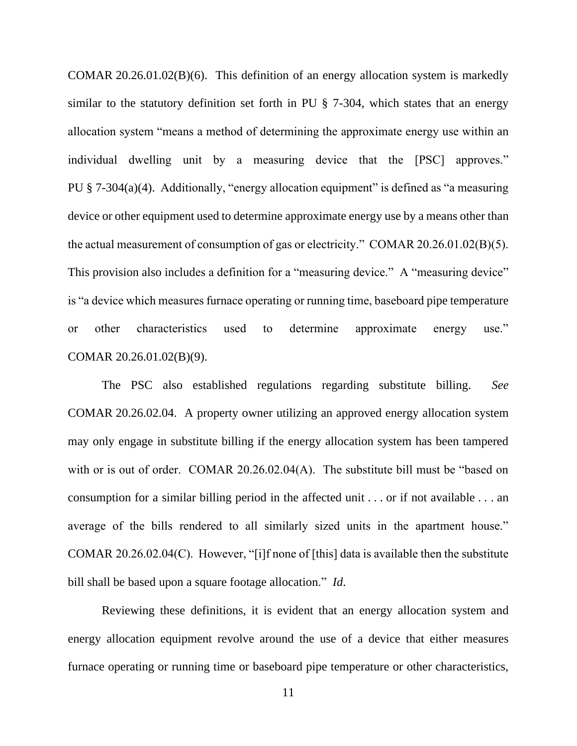COMAR 20.26.01.02(B)(6). This definition of an energy allocation system is markedly similar to the statutory definition set forth in PU § 7-304, which states that an energy allocation system "means a method of determining the approximate energy use within an individual dwelling unit by a measuring device that the [PSC] approves." PU  $\S$  7-304(a)(4). Additionally, "energy allocation equipment" is defined as "a measuring device or other equipment used to determine approximate energy use by a means other than the actual measurement of consumption of gas or electricity." COMAR 20.26.01.02(B)(5). This provision also includes a definition for a "measuring device." A "measuring device" is "a device which measures furnace operating or running time, baseboard pipe temperature or other characteristics used to determine approximate energy use." COMAR 20.26.01.02(B)(9).

The PSC also established regulations regarding substitute billing. *See*  COMAR 20.26.02.04. A property owner utilizing an approved energy allocation system may only engage in substitute billing if the energy allocation system has been tampered with or is out of order. COMAR 20.26.02.04(A). The substitute bill must be "based on consumption for a similar billing period in the affected unit . . . or if not available . . . an average of the bills rendered to all similarly sized units in the apartment house." COMAR 20.26.02.04(C). However, "[i]f none of [this] data is available then the substitute bill shall be based upon a square footage allocation." *Id*.

Reviewing these definitions, it is evident that an energy allocation system and energy allocation equipment revolve around the use of a device that either measures furnace operating or running time or baseboard pipe temperature or other characteristics,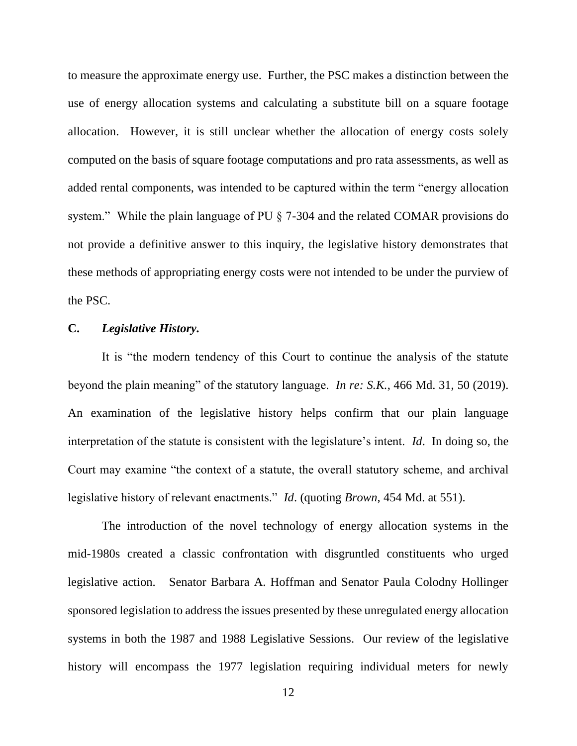to measure the approximate energy use. Further, the PSC makes a distinction between the use of energy allocation systems and calculating a substitute bill on a square footage allocation. However, it is still unclear whether the allocation of energy costs solely computed on the basis of square footage computations and pro rata assessments, as well as added rental components, was intended to be captured within the term "energy allocation system." While the plain language of PU § 7-304 and the related COMAR provisions do not provide a definitive answer to this inquiry, the legislative history demonstrates that these methods of appropriating energy costs were not intended to be under the purview of the PSC.

### **C.** *Legislative History.*

It is "the modern tendency of this Court to continue the analysis of the statute beyond the plain meaning" of the statutory language. *In re: S.K.*, 466 Md. 31, 50 (2019). An examination of the legislative history helps confirm that our plain language interpretation of the statute is consistent with the legislature's intent. *Id*. In doing so, the Court may examine "the context of a statute, the overall statutory scheme, and archival legislative history of relevant enactments." *Id*. (quoting *Brown*, 454 Md. at 551).

The introduction of the novel technology of energy allocation systems in the mid-1980s created a classic confrontation with disgruntled constituents who urged legislative action. Senator Barbara A. Hoffman and Senator Paula Colodny Hollinger sponsored legislation to address the issues presented by these unregulated energy allocation systems in both the 1987 and 1988 Legislative Sessions. Our review of the legislative history will encompass the 1977 legislation requiring individual meters for newly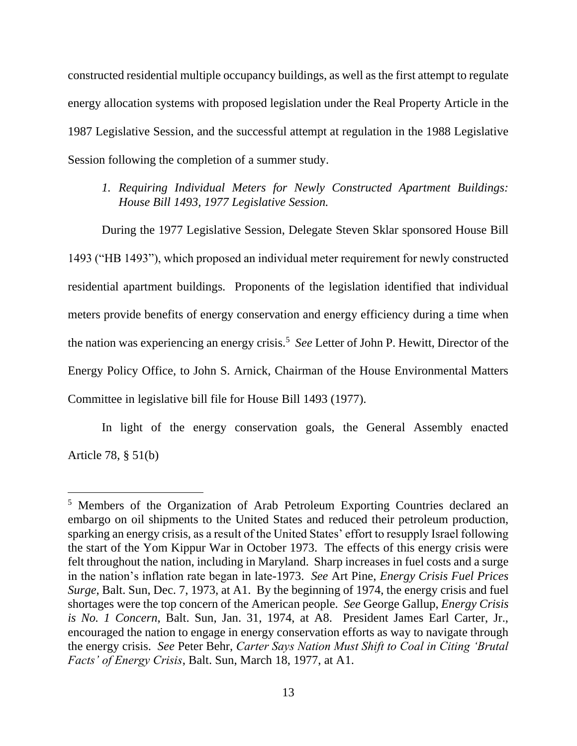constructed residential multiple occupancy buildings, as well as the first attempt to regulate energy allocation systems with proposed legislation under the Real Property Article in the 1987 Legislative Session, and the successful attempt at regulation in the 1988 Legislative Session following the completion of a summer study.

*1. Requiring Individual Meters for Newly Constructed Apartment Buildings: House Bill 1493, 1977 Legislative Session.* 

During the 1977 Legislative Session, Delegate Steven Sklar sponsored House Bill 1493 ("HB 1493"), which proposed an individual meter requirement for newly constructed residential apartment buildings. Proponents of the legislation identified that individual meters provide benefits of energy conservation and energy efficiency during a time when the nation was experiencing an energy crisis.<sup>5</sup> See Letter of John P. Hewitt, Director of the Energy Policy Office, to John S. Arnick, Chairman of the House Environmental Matters Committee in legislative bill file for House Bill 1493 (1977).

In light of the energy conservation goals, the General Assembly enacted Article 78, § 51(b)

<sup>5</sup> Members of the Organization of Arab Petroleum Exporting Countries declared an embargo on oil shipments to the United States and reduced their petroleum production, sparking an energy crisis, as a result of the United States' effort to resupply Israel following the start of the Yom Kippur War in October 1973. The effects of this energy crisis were felt throughout the nation, including in Maryland. Sharp increases in fuel costs and a surge in the nation's inflation rate began in late-1973. *See* Art Pine, *Energy Crisis Fuel Prices Surge*, Balt. Sun, Dec. 7, 1973, at A1. By the beginning of 1974, the energy crisis and fuel shortages were the top concern of the American people. *See* George Gallup, *Energy Crisis is No. 1 Concern*, Balt. Sun, Jan. 31, 1974, at A8. President James Earl Carter, Jr., encouraged the nation to engage in energy conservation efforts as way to navigate through the energy crisis. *See* Peter Behr, *Carter Says Nation Must Shift to Coal in Citing 'Brutal Facts' of Energy Crisis*, Balt. Sun, March 18, 1977, at A1.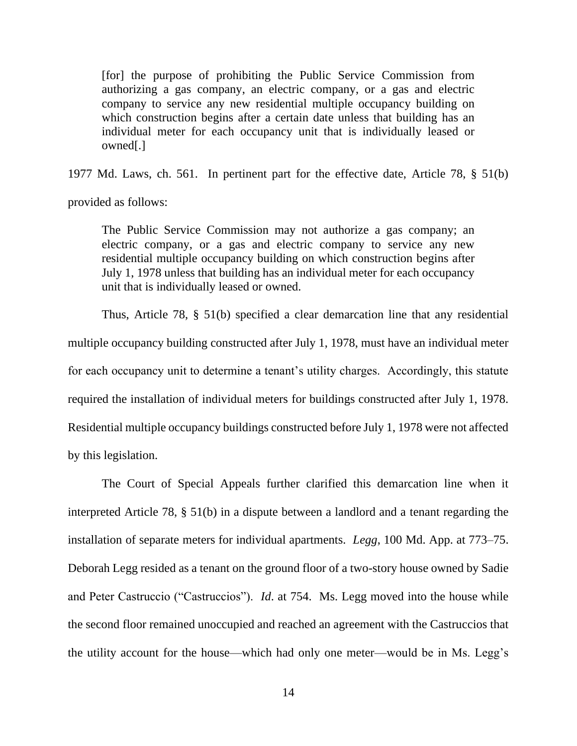[for] the purpose of prohibiting the Public Service Commission from authorizing a gas company, an electric company, or a gas and electric company to service any new residential multiple occupancy building on which construction begins after a certain date unless that building has an individual meter for each occupancy unit that is individually leased or owned[.]

1977 Md. Laws, ch. 561. In pertinent part for the effective date, Article 78, § 51(b)

provided as follows:

The Public Service Commission may not authorize a gas company; an electric company, or a gas and electric company to service any new residential multiple occupancy building on which construction begins after July 1, 1978 unless that building has an individual meter for each occupancy unit that is individually leased or owned.

Thus, Article 78, § 51(b) specified a clear demarcation line that any residential multiple occupancy building constructed after July 1, 1978, must have an individual meter for each occupancy unit to determine a tenant's utility charges. Accordingly, this statute required the installation of individual meters for buildings constructed after July 1, 1978. Residential multiple occupancy buildings constructed before July 1, 1978 were not affected by this legislation.

The Court of Special Appeals further clarified this demarcation line when it interpreted Article 78, § 51(b) in a dispute between a landlord and a tenant regarding the installation of separate meters for individual apartments. *Legg*, 100 Md. App. at 773–75. Deborah Legg resided as a tenant on the ground floor of a two-story house owned by Sadie and Peter Castruccio ("Castruccios"). *Id*. at 754. Ms. Legg moved into the house while the second floor remained unoccupied and reached an agreement with the Castruccios that the utility account for the house—which had only one meter—would be in Ms. Legg's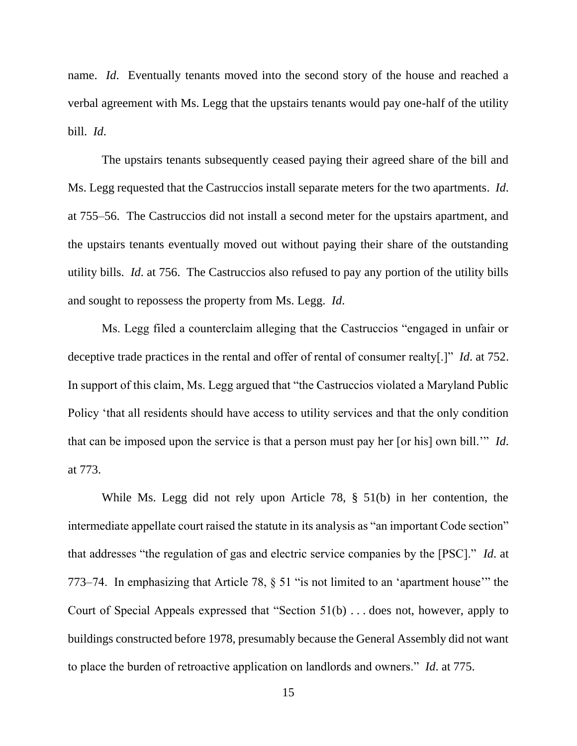name. *Id*. Eventually tenants moved into the second story of the house and reached a verbal agreement with Ms. Legg that the upstairs tenants would pay one-half of the utility bill. *Id*.

The upstairs tenants subsequently ceased paying their agreed share of the bill and Ms. Legg requested that the Castruccios install separate meters for the two apartments. *Id*. at 755–56. The Castruccios did not install a second meter for the upstairs apartment, and the upstairs tenants eventually moved out without paying their share of the outstanding utility bills. *Id*. at 756. The Castruccios also refused to pay any portion of the utility bills and sought to repossess the property from Ms. Legg. *Id*.

Ms. Legg filed a counterclaim alleging that the Castruccios "engaged in unfair or deceptive trade practices in the rental and offer of rental of consumer realty[.]" *Id*. at 752. In support of this claim, Ms. Legg argued that "the Castruccios violated a Maryland Public Policy 'that all residents should have access to utility services and that the only condition that can be imposed upon the service is that a person must pay her [or his] own bill.'" *Id*. at 773.

While Ms. Legg did not rely upon Article 78, § 51(b) in her contention, the intermediate appellate court raised the statute in its analysis as "an important Code section" that addresses "the regulation of gas and electric service companies by the [PSC]." *Id*. at 773–74. In emphasizing that Article 78, § 51 "is not limited to an 'apartment house'" the Court of Special Appeals expressed that "Section 51(b) . . . does not, however, apply to buildings constructed before 1978, presumably because the General Assembly did not want to place the burden of retroactive application on landlords and owners." *Id*. at 775.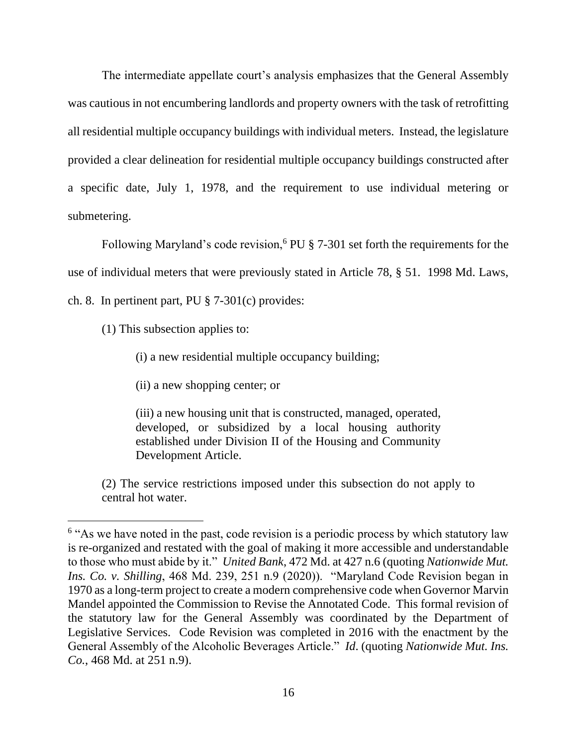The intermediate appellate court's analysis emphasizes that the General Assembly was cautious in not encumbering landlords and property owners with the task of retrofitting all residential multiple occupancy buildings with individual meters. Instead, the legislature provided a clear delineation for residential multiple occupancy buildings constructed after a specific date, July 1, 1978, and the requirement to use individual metering or submetering.

Following Maryland's code revision,<sup>6</sup> PU  $\S$  7-301 set forth the requirements for the use of individual meters that were previously stated in Article 78, § 51. 1998 Md. Laws, ch. 8. In pertinent part, PU § 7-301(c) provides:

(1) This subsection applies to:

(i) a new residential multiple occupancy building;

(ii) a new shopping center; or

(iii) a new housing unit that is constructed, managed, operated, developed, or subsidized by a local housing authority established under Division II of the Housing and Community Development Article.

(2) The service restrictions imposed under this subsection do not apply to central hot water.

<sup>&</sup>lt;sup>6</sup> "As we have noted in the past, code revision is a periodic process by which statutory law is re-organized and restated with the goal of making it more accessible and understandable to those who must abide by it." *United Bank*, 472 Md. at 427 n.6 (quoting *Nationwide Mut. Ins. Co. v. Shilling*, 468 Md. 239, 251 n.9 (2020)). "Maryland Code Revision began in 1970 as a long-term project to create a modern comprehensive code when Governor Marvin Mandel appointed the Commission to Revise the Annotated Code. This formal revision of the statutory law for the General Assembly was coordinated by the Department of Legislative Services. Code Revision was completed in 2016 with the enactment by the General Assembly of the Alcoholic Beverages Article." *Id*. (quoting *Nationwide Mut. Ins. Co.*, 468 Md. at 251 n.9).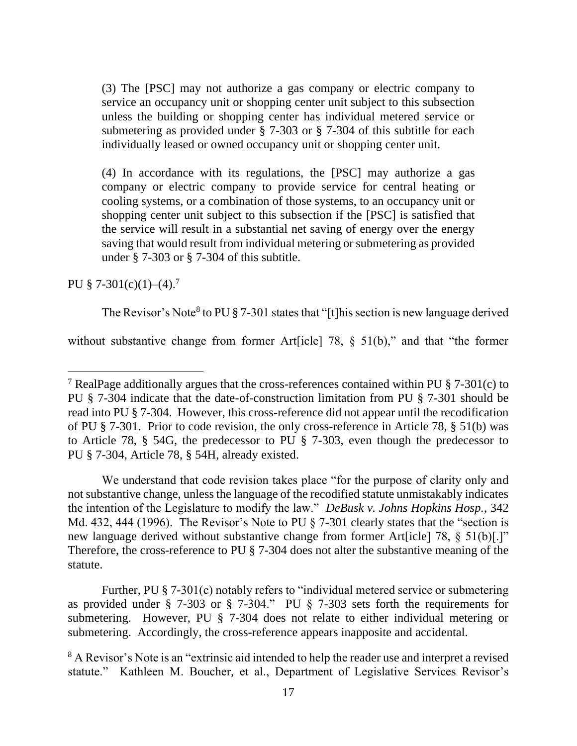(3) The [PSC] may not authorize a gas company or electric company to service an occupancy unit or shopping center unit subject to this subsection unless the building or shopping center has individual metered service or submetering as provided under § 7-303 or § 7-304 of this subtitle for each individually leased or owned occupancy unit or shopping center unit.

(4) In accordance with its regulations, the [PSC] may authorize a gas company or electric company to provide service for central heating or cooling systems, or a combination of those systems, to an occupancy unit or shopping center unit subject to this subsection if the [PSC] is satisfied that the service will result in a substantial net saving of energy over the energy saving that would result from individual metering or submetering as provided under § 7-303 or § 7-304 of this subtitle.

PU  $$7-301(c)(1)-(4).7$ 

The Revisor's Note<sup>8</sup> to PU  $\S$  7-301 states that "[t]his section is new language derived

without substantive change from former Art [icle] 78, § 51(b)," and that "the former

We understand that code revision takes place "for the purpose of clarity only and not substantive change, unless the language of the recodified statute unmistakably indicates the intention of the Legislature to modify the law." *DeBusk v. Johns Hopkins Hosp.*, 342 Md. 432, 444 (1996). The Revisor's Note to PU § 7-301 clearly states that the "section is new language derived without substantive change from former Art [icle] 78,  $\S$  51(b)[.]" Therefore, the cross-reference to PU § 7-304 does not alter the substantive meaning of the statute.

Further, PU § 7-301(c) notably refers to "individual metered service or submetering as provided under § 7-303 or § 7-304." PU § 7-303 sets forth the requirements for submetering. However, PU § 7-304 does not relate to either individual metering or submetering. Accordingly, the cross-reference appears inapposite and accidental.

<sup>8</sup> A Revisor's Note is an "extrinsic aid intended to help the reader use and interpret a revised statute." Kathleen M. Boucher, et al., Department of Legislative Services Revisor's

<sup>&</sup>lt;sup>7</sup> RealPage additionally argues that the cross-references contained within PU  $\S$  7-301(c) to PU § 7-304 indicate that the date-of-construction limitation from PU § 7-301 should be read into PU § 7-304. However, this cross-reference did not appear until the recodification of PU § 7-301. Prior to code revision, the only cross-reference in Article 78, § 51(b) was to Article 78, § 54G, the predecessor to PU § 7-303, even though the predecessor to PU § 7-304, Article 78, § 54H, already existed.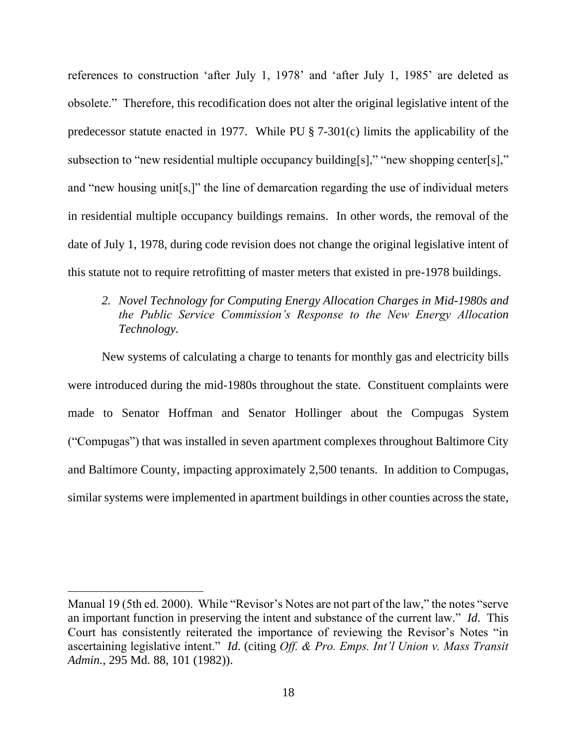references to construction 'after July 1, 1978' and 'after July 1, 1985' are deleted as obsolete." Therefore, this recodification does not alter the original legislative intent of the predecessor statute enacted in 1977. While PU § 7-301(c) limits the applicability of the subsection to "new residential multiple occupancy building[s]," "new shopping center[s]," and "new housing unit[s,]" the line of demarcation regarding the use of individual meters in residential multiple occupancy buildings remains. In other words, the removal of the date of July 1, 1978, during code revision does not change the original legislative intent of this statute not to require retrofitting of master meters that existed in pre-1978 buildings.

*2. Novel Technology for Computing Energy Allocation Charges in Mid-1980s and the Public Service Commission's Response to the New Energy Allocation Technology.*

New systems of calculating a charge to tenants for monthly gas and electricity bills were introduced during the mid-1980s throughout the state. Constituent complaints were made to Senator Hoffman and Senator Hollinger about the Compugas System ("Compugas") that was installed in seven apartment complexes throughout Baltimore City and Baltimore County, impacting approximately 2,500 tenants. In addition to Compugas, similar systems were implemented in apartment buildings in other counties across the state,

Manual 19 (5th ed. 2000). While "Revisor's Notes are not part of the law," the notes "serve an important function in preserving the intent and substance of the current law." *Id*. This Court has consistently reiterated the importance of reviewing the Revisor's Notes "in ascertaining legislative intent." *Id*. (citing *Off. & Pro. Emps. Int'l Union v. Mass Transit Admin.*, 295 Md. 88, 101 (1982)).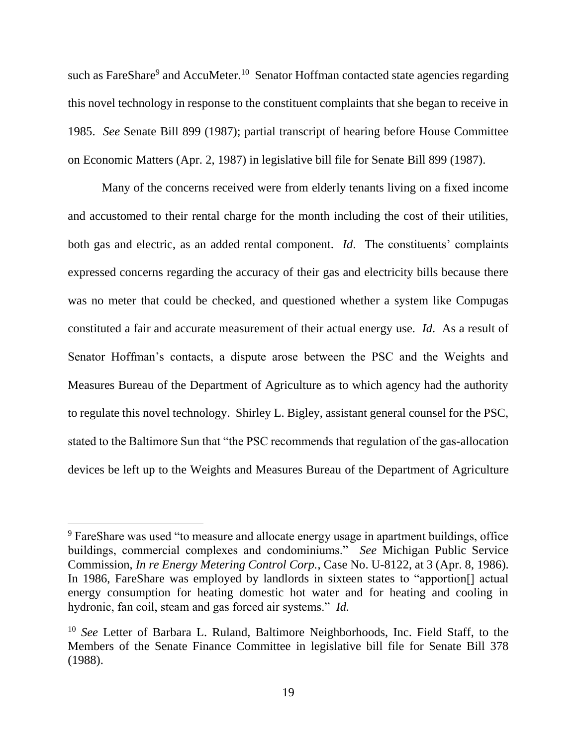such as FareShare<sup>9</sup> and AccuMeter.<sup>10</sup> Senator Hoffman contacted state agencies regarding this novel technology in response to the constituent complaints that she began to receive in 1985. *See* Senate Bill 899 (1987); partial transcript of hearing before House Committee on Economic Matters (Apr. 2, 1987) in legislative bill file for Senate Bill 899 (1987).

Many of the concerns received were from elderly tenants living on a fixed income and accustomed to their rental charge for the month including the cost of their utilities, both gas and electric, as an added rental component. *Id*. The constituents' complaints expressed concerns regarding the accuracy of their gas and electricity bills because there was no meter that could be checked, and questioned whether a system like Compugas constituted a fair and accurate measurement of their actual energy use. *Id*. As a result of Senator Hoffman's contacts, a dispute arose between the PSC and the Weights and Measures Bureau of the Department of Agriculture as to which agency had the authority to regulate this novel technology. Shirley L. Bigley, assistant general counsel for the PSC, stated to the Baltimore Sun that "the PSC recommends that regulation of the gas-allocation devices be left up to the Weights and Measures Bureau of the Department of Agriculture

<sup>&</sup>lt;sup>9</sup> FareShare was used "to measure and allocate energy usage in apartment buildings, office buildings, commercial complexes and condominiums." *See* Michigan Public Service Commission, *In re Energy Metering Control Corp.*, Case No. U-8122, at 3 (Apr. 8, 1986). In 1986, FareShare was employed by landlords in sixteen states to "apportion[] actual energy consumption for heating domestic hot water and for heating and cooling in hydronic, fan coil, steam and gas forced air systems." *Id.*

<sup>10</sup> *See* Letter of Barbara L. Ruland, Baltimore Neighborhoods, Inc. Field Staff, to the Members of the Senate Finance Committee in legislative bill file for Senate Bill 378 (1988).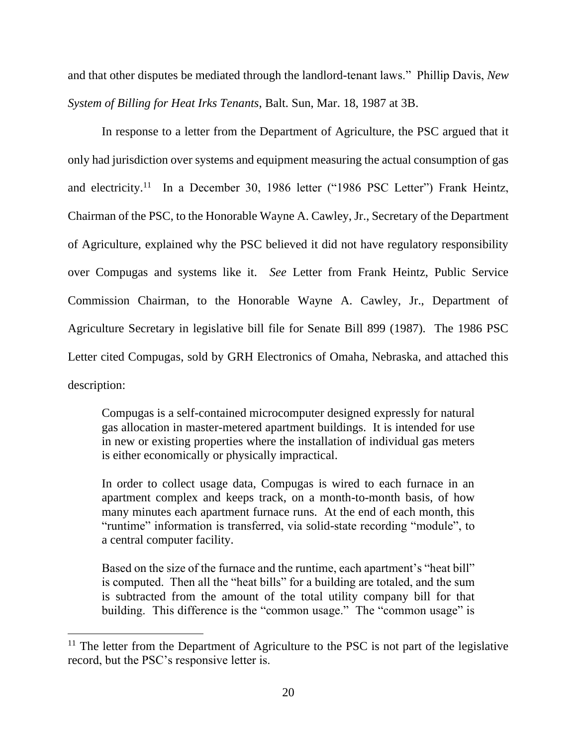and that other disputes be mediated through the landlord-tenant laws." Phillip Davis, *New System of Billing for Heat Irks Tenants*, Balt. Sun, Mar. 18, 1987 at 3B.

In response to a letter from the Department of Agriculture, the PSC argued that it only had jurisdiction over systems and equipment measuring the actual consumption of gas and electricity.<sup>11</sup> In a December 30, 1986 letter ("1986 PSC Letter") Frank Heintz, Chairman of the PSC, to the Honorable Wayne A. Cawley, Jr., Secretary of the Department of Agriculture, explained why the PSC believed it did not have regulatory responsibility over Compugas and systems like it. *See* Letter from Frank Heintz, Public Service Commission Chairman, to the Honorable Wayne A. Cawley, Jr., Department of Agriculture Secretary in legislative bill file for Senate Bill 899 (1987). The 1986 PSC Letter cited Compugas, sold by GRH Electronics of Omaha, Nebraska, and attached this description:

Compugas is a self-contained microcomputer designed expressly for natural gas allocation in master-metered apartment buildings. It is intended for use in new or existing properties where the installation of individual gas meters is either economically or physically impractical.

In order to collect usage data, Compugas is wired to each furnace in an apartment complex and keeps track, on a month-to-month basis, of how many minutes each apartment furnace runs. At the end of each month, this "runtime" information is transferred, via solid-state recording "module", to a central computer facility.

Based on the size of the furnace and the runtime, each apartment's "heat bill" is computed. Then all the "heat bills" for a building are totaled, and the sum is subtracted from the amount of the total utility company bill for that building. This difference is the "common usage." The "common usage" is

 $11$  The letter from the Department of Agriculture to the PSC is not part of the legislative record, but the PSC's responsive letter is.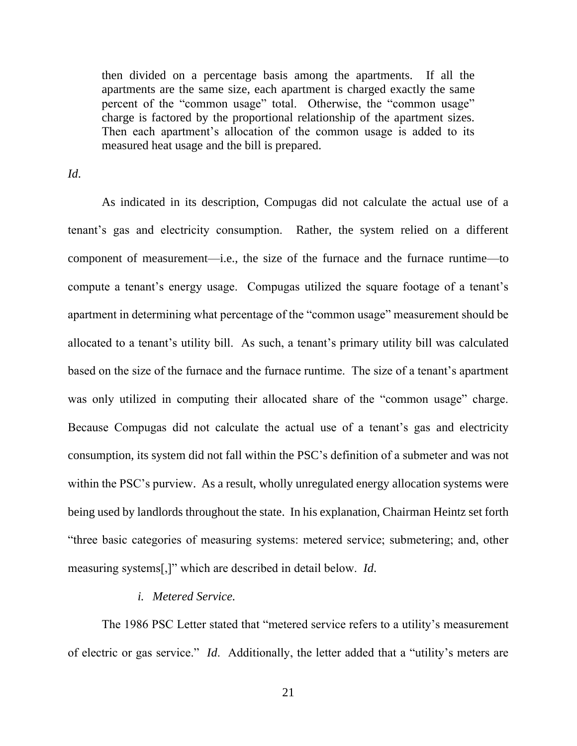then divided on a percentage basis among the apartments. If all the apartments are the same size, each apartment is charged exactly the same percent of the "common usage" total. Otherwise, the "common usage" charge is factored by the proportional relationship of the apartment sizes. Then each apartment's allocation of the common usage is added to its measured heat usage and the bill is prepared.

*Id*.

As indicated in its description, Compugas did not calculate the actual use of a tenant's gas and electricity consumption. Rather, the system relied on a different component of measurement—i.e., the size of the furnace and the furnace runtime—to compute a tenant's energy usage. Compugas utilized the square footage of a tenant's apartment in determining what percentage of the "common usage" measurement should be allocated to a tenant's utility bill. As such, a tenant's primary utility bill was calculated based on the size of the furnace and the furnace runtime. The size of a tenant's apartment was only utilized in computing their allocated share of the "common usage" charge. Because Compugas did not calculate the actual use of a tenant's gas and electricity consumption, its system did not fall within the PSC's definition of a submeter and was not within the PSC's purview. As a result, wholly unregulated energy allocation systems were being used by landlords throughout the state. In his explanation, Chairman Heintz set forth "three basic categories of measuring systems: metered service; submetering; and, other measuring systems[,]" which are described in detail below. *Id*.

## *i. Metered Service.*

The 1986 PSC Letter stated that "metered service refers to a utility's measurement of electric or gas service." *Id*. Additionally, the letter added that a "utility's meters are

21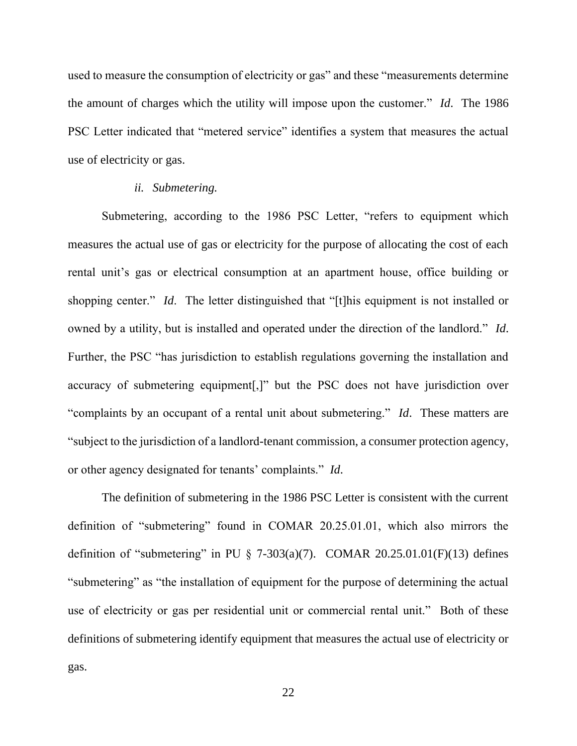used to measure the consumption of electricity or gas" and these "measurements determine the amount of charges which the utility will impose upon the customer." *Id*. The 1986 PSC Letter indicated that "metered service" identifies a system that measures the actual use of electricity or gas.

### *ii. Submetering.*

Submetering, according to the 1986 PSC Letter, "refers to equipment which measures the actual use of gas or electricity for the purpose of allocating the cost of each rental unit's gas or electrical consumption at an apartment house, office building or shopping center." *Id*. The letter distinguished that "[t]his equipment is not installed or owned by a utility, but is installed and operated under the direction of the landlord." *Id*. Further, the PSC "has jurisdiction to establish regulations governing the installation and accuracy of submetering equipment[,]" but the PSC does not have jurisdiction over "complaints by an occupant of a rental unit about submetering." *Id*. These matters are "subject to the jurisdiction of a landlord-tenant commission, a consumer protection agency, or other agency designated for tenants' complaints." *Id*.

The definition of submetering in the 1986 PSC Letter is consistent with the current definition of "submetering" found in COMAR 20.25.01.01, which also mirrors the definition of "submetering" in PU  $\S$  7-303(a)(7). COMAR 20.25.01.01(F)(13) defines "submetering" as "the installation of equipment for the purpose of determining the actual use of electricity or gas per residential unit or commercial rental unit." Both of these definitions of submetering identify equipment that measures the actual use of electricity or gas.

22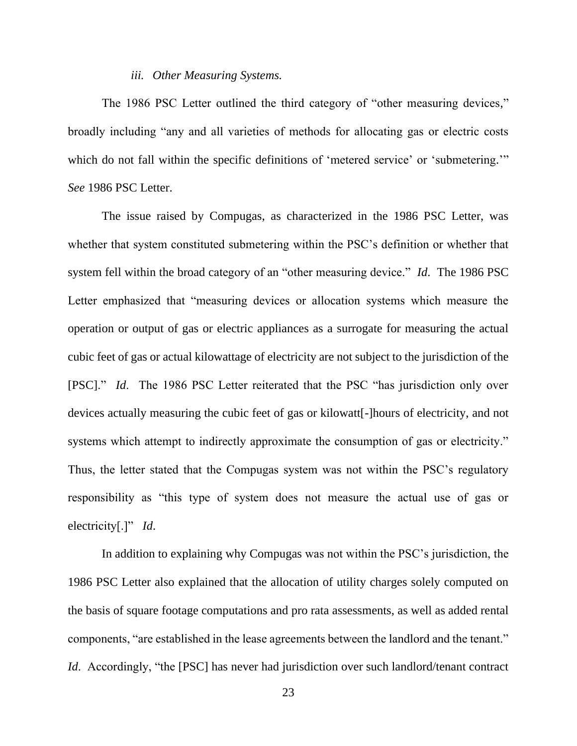#### *iii. Other Measuring Systems.*

The 1986 PSC Letter outlined the third category of "other measuring devices," broadly including "any and all varieties of methods for allocating gas or electric costs which do not fall within the specific definitions of 'metered service' or 'submetering.'" *See* 1986 PSC Letter.

The issue raised by Compugas, as characterized in the 1986 PSC Letter, was whether that system constituted submetering within the PSC's definition or whether that system fell within the broad category of an "other measuring device." *Id*. The 1986 PSC Letter emphasized that "measuring devices or allocation systems which measure the operation or output of gas or electric appliances as a surrogate for measuring the actual cubic feet of gas or actual kilowattage of electricity are not subject to the jurisdiction of the [PSC]." *Id*. The 1986 PSC Letter reiterated that the PSC "has jurisdiction only over devices actually measuring the cubic feet of gas or kilowatt[-]hours of electricity, and not systems which attempt to indirectly approximate the consumption of gas or electricity." Thus, the letter stated that the Compugas system was not within the PSC's regulatory responsibility as "this type of system does not measure the actual use of gas or electricity[.]" *Id*.

In addition to explaining why Compugas was not within the PSC's jurisdiction, the 1986 PSC Letter also explained that the allocation of utility charges solely computed on the basis of square footage computations and pro rata assessments, as well as added rental components, "are established in the lease agreements between the landlord and the tenant." *Id.* Accordingly, "the [PSC] has never had jurisdiction over such landlord/tenant contract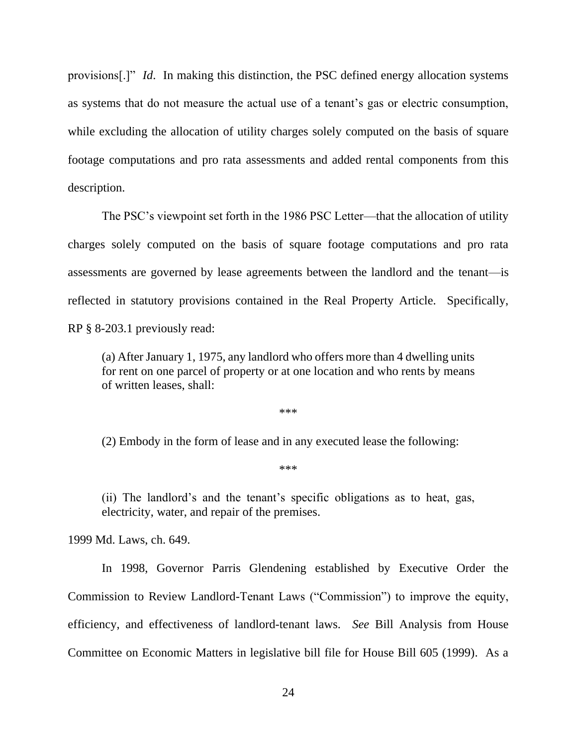provisions[.]" *Id*. In making this distinction, the PSC defined energy allocation systems as systems that do not measure the actual use of a tenant's gas or electric consumption, while excluding the allocation of utility charges solely computed on the basis of square footage computations and pro rata assessments and added rental components from this description.

The PSC's viewpoint set forth in the 1986 PSC Letter—that the allocation of utility charges solely computed on the basis of square footage computations and pro rata assessments are governed by lease agreements between the landlord and the tenant—is reflected in statutory provisions contained in the Real Property Article. Specifically, RP § 8-203.1 previously read:

(a) After January 1, 1975, any landlord who offers more than 4 dwelling units for rent on one parcel of property or at one location and who rents by means of written leases, shall:

\*\*\*

(2) Embody in the form of lease and in any executed lease the following:

\*\*\*

(ii) The landlord's and the tenant's specific obligations as to heat, gas, electricity, water, and repair of the premises.

1999 Md. Laws, ch. 649.

In 1998, Governor Parris Glendening established by Executive Order the Commission to Review Landlord-Tenant Laws ("Commission") to improve the equity, efficiency, and effectiveness of landlord-tenant laws. *See* Bill Analysis from House Committee on Economic Matters in legislative bill file for House Bill 605 (1999). As a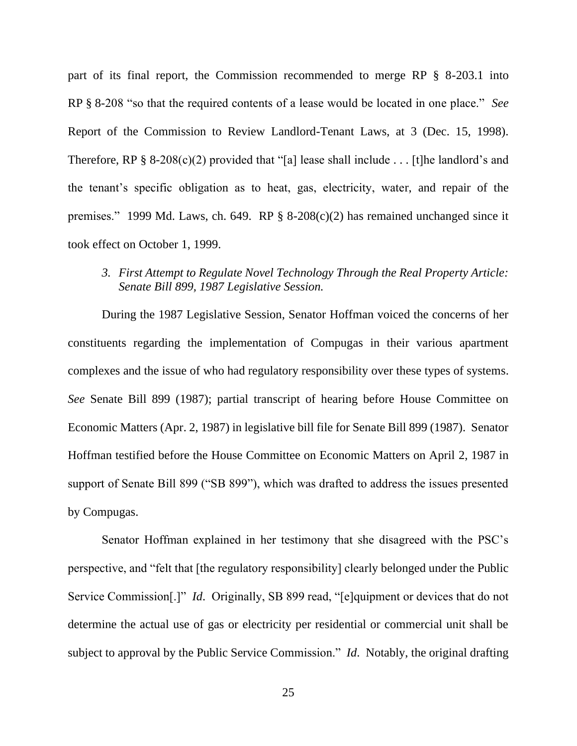part of its final report, the Commission recommended to merge RP § 8-203.1 into RP § 8-208 "so that the required contents of a lease would be located in one place." *See*  Report of the Commission to Review Landlord-Tenant Laws, at 3 (Dec. 15, 1998). Therefore, RP § 8-208(c)(2) provided that "[a] lease shall include . . . [t] he landlord's and the tenant's specific obligation as to heat, gas, electricity, water, and repair of the premises." 1999 Md. Laws, ch. 649. RP § 8-208(c)(2) has remained unchanged since it took effect on October 1, 1999.

## *3. First Attempt to Regulate Novel Technology Through the Real Property Article: Senate Bill 899, 1987 Legislative Session.*

During the 1987 Legislative Session, Senator Hoffman voiced the concerns of her constituents regarding the implementation of Compugas in their various apartment complexes and the issue of who had regulatory responsibility over these types of systems. *See* Senate Bill 899 (1987); partial transcript of hearing before House Committee on Economic Matters (Apr. 2, 1987) in legislative bill file for Senate Bill 899 (1987). Senator Hoffman testified before the House Committee on Economic Matters on April 2, 1987 in support of Senate Bill 899 ("SB 899"), which was drafted to address the issues presented by Compugas.

Senator Hoffman explained in her testimony that she disagreed with the PSC's perspective, and "felt that [the regulatory responsibility] clearly belonged under the Public Service Commission<sup>[1]"</sup> *Id.* Originally, SB 899 read, "[e]quipment or devices that do not determine the actual use of gas or electricity per residential or commercial unit shall be subject to approval by the Public Service Commission." *Id*. Notably, the original drafting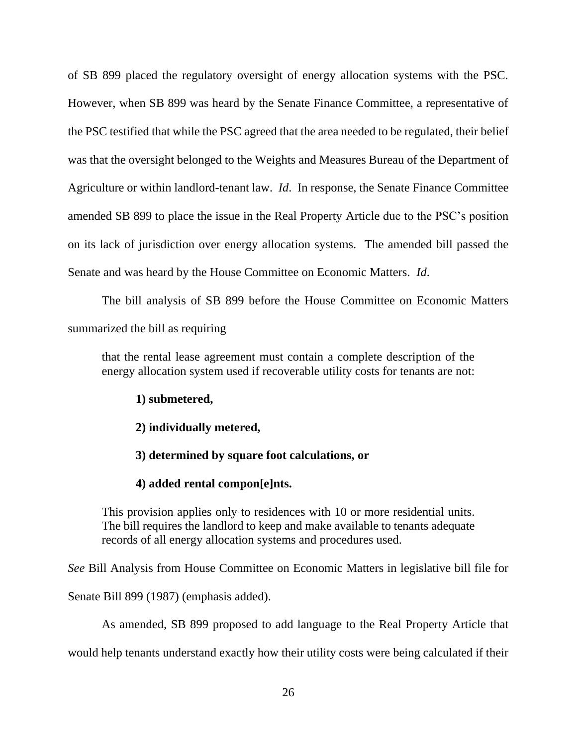of SB 899 placed the regulatory oversight of energy allocation systems with the PSC. However, when SB 899 was heard by the Senate Finance Committee, a representative of the PSC testified that while the PSC agreed that the area needed to be regulated, their belief was that the oversight belonged to the Weights and Measures Bureau of the Department of Agriculture or within landlord-tenant law. *Id*. In response, the Senate Finance Committee amended SB 899 to place the issue in the Real Property Article due to the PSC's position on its lack of jurisdiction over energy allocation systems. The amended bill passed the Senate and was heard by the House Committee on Economic Matters. *Id*.

The bill analysis of SB 899 before the House Committee on Economic Matters summarized the bill as requiring

that the rental lease agreement must contain a complete description of the energy allocation system used if recoverable utility costs for tenants are not:

**1) submetered,** 

**2) individually metered,** 

**3) determined by square foot calculations, or** 

**4) added rental compon[e]nts.** 

This provision applies only to residences with 10 or more residential units. The bill requires the landlord to keep and make available to tenants adequate records of all energy allocation systems and procedures used.

*See* Bill Analysis from House Committee on Economic Matters in legislative bill file for

Senate Bill 899 (1987) (emphasis added).

As amended, SB 899 proposed to add language to the Real Property Article that

would help tenants understand exactly how their utility costs were being calculated if their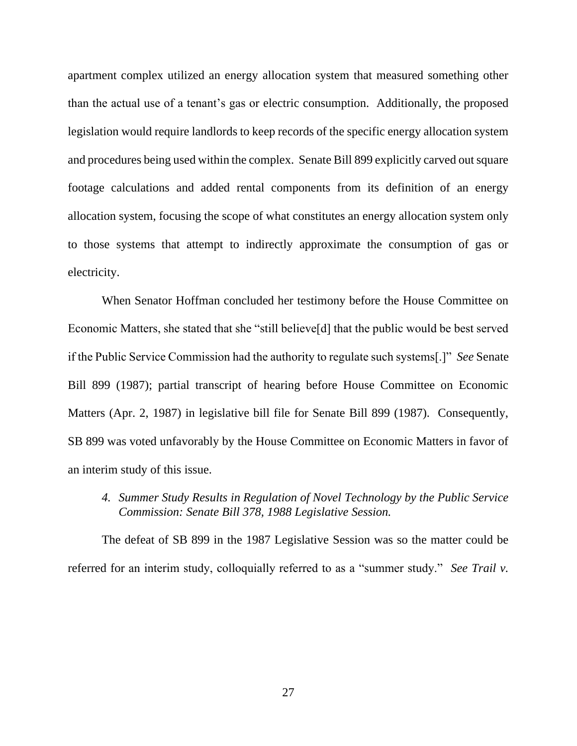apartment complex utilized an energy allocation system that measured something other than the actual use of a tenant's gas or electric consumption. Additionally, the proposed legislation would require landlords to keep records of the specific energy allocation system and procedures being used within the complex. Senate Bill 899 explicitly carved out square footage calculations and added rental components from its definition of an energy allocation system, focusing the scope of what constitutes an energy allocation system only to those systems that attempt to indirectly approximate the consumption of gas or electricity.

When Senator Hoffman concluded her testimony before the House Committee on Economic Matters, she stated that she "still believe[d] that the public would be best served if the Public Service Commission had the authority to regulate such systems[.]" *See* Senate Bill 899 (1987); partial transcript of hearing before House Committee on Economic Matters (Apr. 2, 1987) in legislative bill file for Senate Bill 899 (1987). Consequently, SB 899 was voted unfavorably by the House Committee on Economic Matters in favor of an interim study of this issue.

*4. Summer Study Results in Regulation of Novel Technology by the Public Service Commission: Senate Bill 378, 1988 Legislative Session.*

The defeat of SB 899 in the 1987 Legislative Session was so the matter could be referred for an interim study, colloquially referred to as a "summer study." *See Trail v.*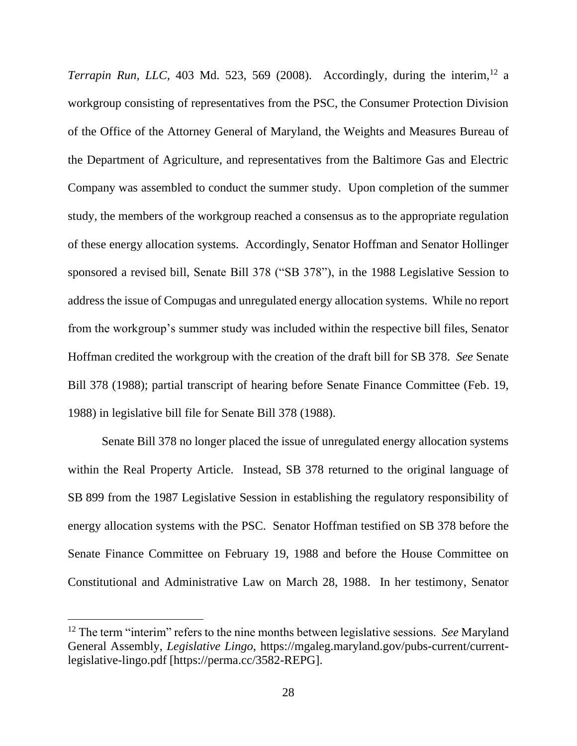*Terrapin Run, LLC*, 403 Md. 523, 569 (2008). Accordingly, during the interim,<sup>12</sup> a workgroup consisting of representatives from the PSC, the Consumer Protection Division of the Office of the Attorney General of Maryland, the Weights and Measures Bureau of the Department of Agriculture, and representatives from the Baltimore Gas and Electric Company was assembled to conduct the summer study. Upon completion of the summer study, the members of the workgroup reached a consensus as to the appropriate regulation of these energy allocation systems. Accordingly, Senator Hoffman and Senator Hollinger sponsored a revised bill, Senate Bill 378 ("SB 378"), in the 1988 Legislative Session to address the issue of Compugas and unregulated energy allocation systems. While no report from the workgroup's summer study was included within the respective bill files, Senator Hoffman credited the workgroup with the creation of the draft bill for SB 378. *See* Senate Bill 378 (1988); partial transcript of hearing before Senate Finance Committee (Feb. 19, 1988) in legislative bill file for Senate Bill 378 (1988).

Senate Bill 378 no longer placed the issue of unregulated energy allocation systems within the Real Property Article. Instead, SB 378 returned to the original language of SB 899 from the 1987 Legislative Session in establishing the regulatory responsibility of energy allocation systems with the PSC. Senator Hoffman testified on SB 378 before the Senate Finance Committee on February 19, 1988 and before the House Committee on Constitutional and Administrative Law on March 28, 1988. In her testimony, Senator

<sup>12</sup> The term "interim" refers to the nine months between legislative sessions. *See* Maryland General Assembly, *Legislative Lingo*, https://mgaleg.maryland.gov/pubs-current/currentlegislative-lingo.pdf [https://perma.cc/3582-REPG].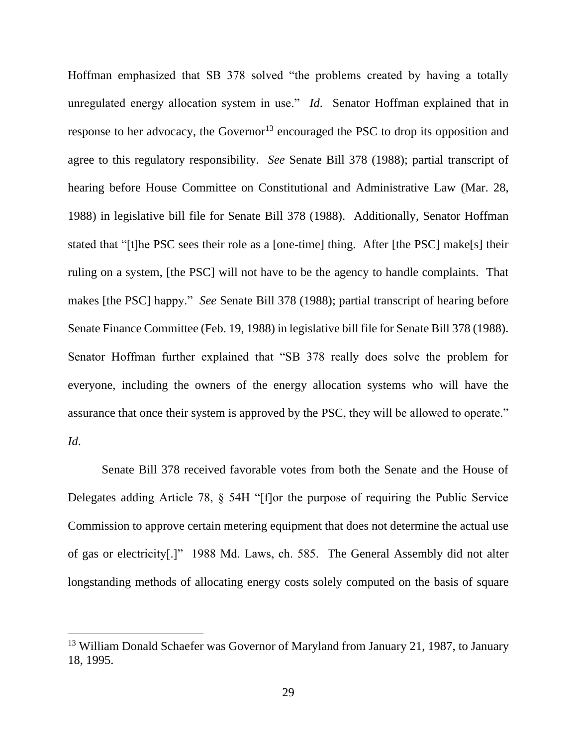Hoffman emphasized that SB 378 solved "the problems created by having a totally unregulated energy allocation system in use." *Id*. Senator Hoffman explained that in response to her advocacy, the Governor<sup>13</sup> encouraged the PSC to drop its opposition and agree to this regulatory responsibility. *See* Senate Bill 378 (1988); partial transcript of hearing before House Committee on Constitutional and Administrative Law (Mar. 28, 1988) in legislative bill file for Senate Bill 378 (1988). Additionally, Senator Hoffman stated that "[t]he PSC sees their role as a [one-time] thing. After [the PSC] make[s] their ruling on a system, [the PSC] will not have to be the agency to handle complaints. That makes [the PSC] happy." *See* Senate Bill 378 (1988); partial transcript of hearing before Senate Finance Committee (Feb. 19, 1988) in legislative bill file for Senate Bill 378 (1988). Senator Hoffman further explained that "SB 378 really does solve the problem for everyone, including the owners of the energy allocation systems who will have the assurance that once their system is approved by the PSC, they will be allowed to operate." *Id*.

Senate Bill 378 received favorable votes from both the Senate and the House of Delegates adding Article 78, § 54H "[f]or the purpose of requiring the Public Service Commission to approve certain metering equipment that does not determine the actual use of gas or electricity[.]" 1988 Md. Laws, ch. 585. The General Assembly did not alter longstanding methods of allocating energy costs solely computed on the basis of square

<sup>&</sup>lt;sup>13</sup> William Donald Schaefer was Governor of Maryland from January 21, 1987, to January 18, 1995.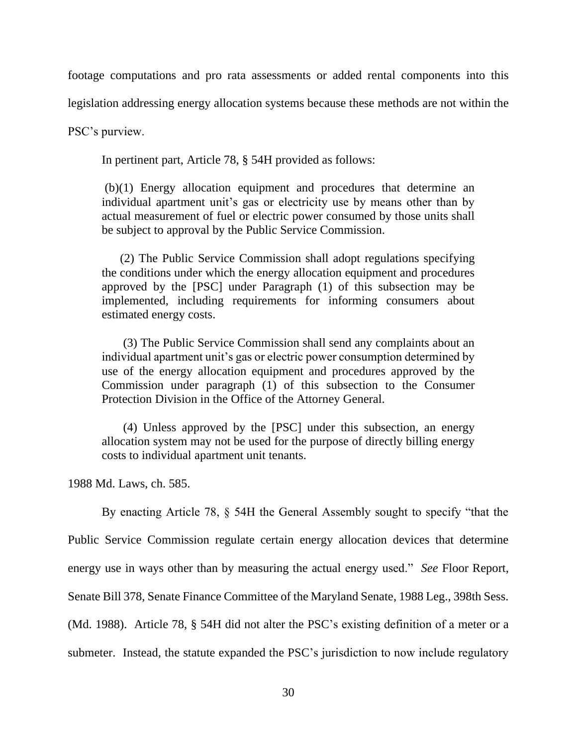footage computations and pro rata assessments or added rental components into this

legislation addressing energy allocation systems because these methods are not within the

PSC's purview.

In pertinent part, Article 78, § 54H provided as follows:

(b)(1) Energy allocation equipment and procedures that determine an individual apartment unit's gas or electricity use by means other than by actual measurement of fuel or electric power consumed by those units shall be subject to approval by the Public Service Commission.

 (2) The Public Service Commission shall adopt regulations specifying the conditions under which the energy allocation equipment and procedures approved by the [PSC] under Paragraph (1) of this subsection may be implemented, including requirements for informing consumers about estimated energy costs.

 (3) The Public Service Commission shall send any complaints about an individual apartment unit's gas or electric power consumption determined by use of the energy allocation equipment and procedures approved by the Commission under paragraph (1) of this subsection to the Consumer Protection Division in the Office of the Attorney General.

 (4) Unless approved by the [PSC] under this subsection, an energy allocation system may not be used for the purpose of directly billing energy costs to individual apartment unit tenants.

1988 Md. Laws, ch. 585.

By enacting Article 78, § 54H the General Assembly sought to specify "that the Public Service Commission regulate certain energy allocation devices that determine energy use in ways other than by measuring the actual energy used." *See* Floor Report, Senate Bill 378, Senate Finance Committee of the Maryland Senate, 1988 Leg., 398th Sess. (Md. 1988). Article 78, § 54H did not alter the PSC's existing definition of a meter or a submeter. Instead, the statute expanded the PSC's jurisdiction to now include regulatory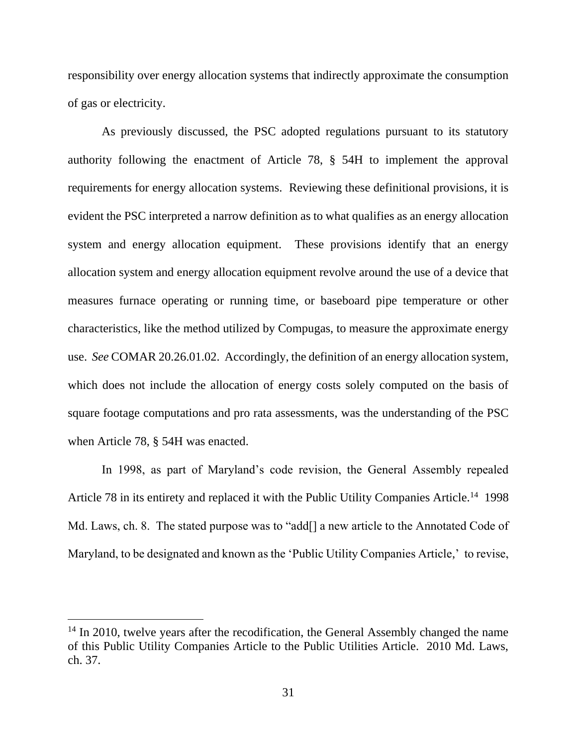responsibility over energy allocation systems that indirectly approximate the consumption of gas or electricity.

As previously discussed, the PSC adopted regulations pursuant to its statutory authority following the enactment of Article 78, § 54H to implement the approval requirements for energy allocation systems. Reviewing these definitional provisions, it is evident the PSC interpreted a narrow definition as to what qualifies as an energy allocation system and energy allocation equipment. These provisions identify that an energy allocation system and energy allocation equipment revolve around the use of a device that measures furnace operating or running time, or baseboard pipe temperature or other characteristics, like the method utilized by Compugas, to measure the approximate energy use. *See* COMAR 20.26.01.02. Accordingly, the definition of an energy allocation system, which does not include the allocation of energy costs solely computed on the basis of square footage computations and pro rata assessments, was the understanding of the PSC when Article 78, § 54H was enacted.

In 1998, as part of Maryland's code revision, the General Assembly repealed Article 78 in its entirety and replaced it with the Public Utility Companies Article.<sup>14</sup> 1998 Md. Laws, ch. 8. The stated purpose was to "add<sup>[]</sup> a new article to the Annotated Code of Maryland, to be designated and known as the 'Public Utility Companies Article,' to revise,

<sup>&</sup>lt;sup>14</sup> In 2010, twelve years after the recodification, the General Assembly changed the name of this Public Utility Companies Article to the Public Utilities Article. 2010 Md. Laws, ch. 37.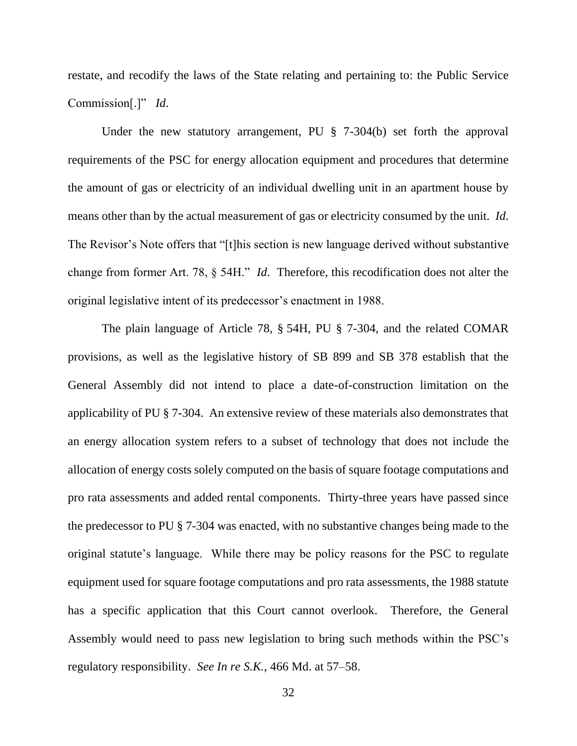restate, and recodify the laws of the State relating and pertaining to: the Public Service Commission[.]" *Id*.

Under the new statutory arrangement, PU § 7-304(b) set forth the approval requirements of the PSC for energy allocation equipment and procedures that determine the amount of gas or electricity of an individual dwelling unit in an apartment house by means other than by the actual measurement of gas or electricity consumed by the unit. *Id*. The Revisor's Note offers that "[t]his section is new language derived without substantive change from former Art. 78, § 54H." *Id*. Therefore, this recodification does not alter the original legislative intent of its predecessor's enactment in 1988.

The plain language of Article 78, § 54H, PU § 7-304, and the related COMAR provisions, as well as the legislative history of SB 899 and SB 378 establish that the General Assembly did not intend to place a date-of-construction limitation on the applicability of PU § 7-304. An extensive review of these materials also demonstrates that an energy allocation system refers to a subset of technology that does not include the allocation of energy costs solely computed on the basis of square footage computations and pro rata assessments and added rental components. Thirty-three years have passed since the predecessor to PU § 7-304 was enacted, with no substantive changes being made to the original statute's language. While there may be policy reasons for the PSC to regulate equipment used for square footage computations and pro rata assessments, the 1988 statute has a specific application that this Court cannot overlook. Therefore, the General Assembly would need to pass new legislation to bring such methods within the PSC's regulatory responsibility. *See In re S.K.*, 466 Md. at 57–58.